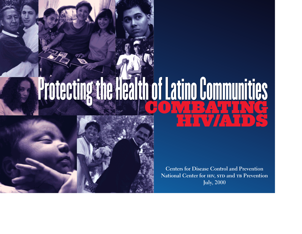## COMER HENC HIV/AIDS Protecting the Health of Latino Communities Protecting the Health of Latino Communities



**Centers for Disease Control and Prevention** National Center for **HIV, STD** and **TB** Prevention **July, 2000**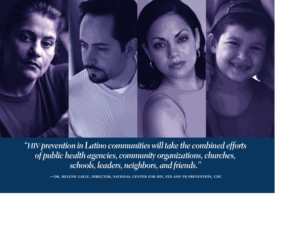

*"HIV prevention in Latino communities will take the combined efforts of public health agencies, community organizations, churches, schools, leaders, neighbors, and friends."* 

**—dr. helene gayle, director, national center for hiv, std and tb prevention, cdc**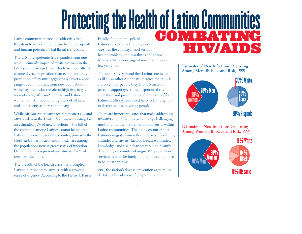# Protecting the Health of Latino Communities

Latino communities face a health crisis that threatens to imperil their future health, prosperity and human potential. That threat is HIV/AIDS.

The U.S. HIV epidemic has expanded from one which primarily impacted white gay men in the late 1980's, to an epidemic which, in 2000, affects a more diverse population than ever before. hiv prevention efforts must aggressively target a wide range of communities, from new populations of white gay men, who remain at high risk, to gay men of color, African-American and Latino women at risk, injection drug users of all races, and adolescents as they come of age.

While African Americans face the greatest hiv and ains burden in the United States-accounting for an estimated 55% of new infections—the toll of the epidemic among Latinos cannot be ignored. Latinos in some areas of the country, primarily the Northeast, Puerto Rico, and Florida, are among the populations now at greatest risk of infection. Overall, Latinos represent an estimated 20% of new HIV infections.

The breadth of the health crisis has prompted Latinos to respond to HIV/AIDS with a growing sense of urgency. According to the Henry J. Kaiser Latinos surveyed in late 1997 said aids was the country's most serious health problem, and two-thirds of Latinos believe AIDS is more urgent now than it was a few years ago.

The same survey found that Latinos are twice as likely as other Americans to agree that AIDS is a problem for people they know. Ninety-four percent support government-sponsored hiv education and prevention, and three out of four Latino adults say they need help in learning how to discuss AIDS with young people.

There are important issues that make addressing hiv/aids among Latinos particularly challenging, most importantly the tremendous diversity within Latino communities. The many countries that Latinos emigrate from reflect a variety of cultures, attitudes and hiv risk factors. Because attitudes, knowledge, and risk behaviors vary significantly depending on country of origin, hiv prevention services need to be finely tailored to each culture to be most effective.

coc, the nation's disease prevention agency, undertakes a broad array of programs to help

1

**Estimates of New Infections Occurring Among Men, By Race and Risk, 1999**

HIV/AIDS



**Estimates of New Infections Occurring Among Women, By Race and Risk, 1999**

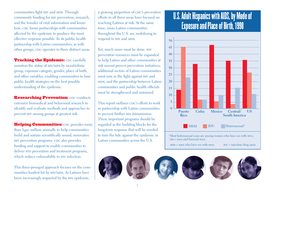communities fight HIV and AIDS. Through community funding for hiv prevention, research, and the transfer of vital information and knowhow, CDC forms partnerships with communities affected by the epidemic to produce the most effective response possible. In its public health partnership with Latino communities, as with other groups, CDC operates in three distinct areas:

**Tracking the Epidemic: CDC carefully** monitors the status of HIV/AIDS by racial/ethnic group, exposure category, gender, place of birth, and other variables, enabling communities to base public health strategies on the best possible understanding of the epidemic.

**Researching Prevention: CDC conducts** extensive biomedical and behavioral research to identify and evaluate methods and approaches to prevent hiv among groups at greatest risk.

Helping Communities: CDC provides more than \$450 million annually to help communities build and sustain scientifically sound, innovative HIV prevention programs. CDC also provides funding and support to enable communities to deliver STD prevention and treatment programs, which reduce vulnerability to HIV infection.

This three-pronged approach focuses on the communities hardest hit by HIV/AIDS. As Latinos have been increasingly impacted by the hiv epidemic,

a growing proportion of CDC's prevention efforts in all three areas have focused on reaching Latinos at risk. At the same time, more Latino communities throughout the U.S. are mobilizing to respond to HIV and AIDS.

Yet, much more must be done. hiv prevention resources must be expanded to help Latino and other communities at risk mount proven prevention initiatives; additional sectors of Latino communities must join in the fight against hiv and ains; and the partnership between Latino communities and public health officials must be strengthened and sustained.

This report outlines CDC's efforts to work in partnership with Latino communities to prevent further HIV transmission. These important programs should be regarded as the building blocks for the long-term response that will be needed to turn the tide against the epidemic in Latino communities across the U.S.

2

### **1997 1998 1988 1989 1990 1991 1992 1993 1994 1995 1996** U.S. Adult Hispanics with AIDS, by Mode of Exposure and Place of Birth, 1998



 $MSM =$  men who have sex with men  $IDU =$  injection drug users

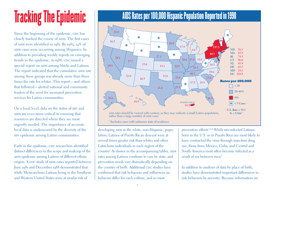# Tracking The Epidemic

Since the beginning of the epidemic, CDC has closely tracked the course of AIDS. The first cases of AIDS were identified in 1981. By 1983, 14% of aids cases were occurring among Hispanics. In addition to providing weekly reports on emerging trends in the epidemic, in 1986, CDC issued a special report on AIDS among blacks and Latinos. The report indicated that the cumulative AIDS rate among these groups was already more than three times the rate for whites. This report—and others that followed—alerted national and community leaders of the need for increased prevention services for Latino communities.

On a local level, data on the status of hiv and AIDS are even more critical to ensuring that resources are directed where they are most urgently needed. The importance of accurate local data is underscored by the diversity of the hiv epidemic among Latino communities.

Early in the epidemic, CDC researchers identified distinct differences in the scope and makeup of the AIDS epidemic among Latinos of different ethnic origins. A CDC study of AIDS cases reported between June 1981 and December 1988 demonstrated that while Mexican-born Latinos living in the Southern and Western United States were at similar risk of

### AIDS Rates per 100,000 Hispanic Population Reported in 1998



developing AIDS as the white, non-Hispanic, population, Latinos of Puerto Rican descent were at several times greater risk than whites and other Latin-born individuals in each region of the country.<sup>1</sup> As shown in the accompanying tables, AIDS rates among Latinos continue to vary by state, and prevention needs vary dramatically depending on the country of birth. Additional CDC studies have confirmed that risk behaviors and influences on behavior differ for each culture, and so must

3

prevention efforts.<sup>2,3,4</sup> While HIV-infected Latinos born in the U.S. or in Puerto Rico are most likely to have contracted the virus through injection drug use, those from Mexico, Cuba, and Central and South America most often become infected as a result of sex between men?

In addition to analyses of data by place of birth, studies have demonstrated important differences in risk behaviors by ancestry. Because information on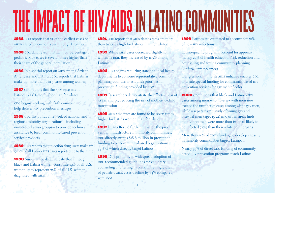# THE IMPACT OF HIV/AIDS IN LATINO COMMUNIT

1982 CDC reports that 23 of the earliest cases of AIDS-related pneumonia are among Hispanics

1983 CDC data reveal that Latinos' percentage of pediatric AIDS cases is several times higher than their share of the general population

1986 In a special report on AIDS among African Americans and Latinos, CDC reports that Latinas make up more than 1 in 5 cases among women

1987 CDC reports that the AIDS case rate for Latinos is 2.6 times higher than for whites

coc begins working with faith communities to help deliver hiv prevention messages

1988 cdc first funds a network of national and regional minority organizations—including numerous Latino groups—to provide technical assistance to local community-based prevention service providers

1989 CDC reports that injection drug users make up 55.7% of all Latino AIDS cases reported up to that time

1990 Surveillance data indicate that although black and Latina women constitute 19% of all U.S. women, they represent 72% of all U.S. women diagnosed with AIDS

1991 CDC reports that AIDS deaths rates are more than twice as high for Latinos than for whites

1992 While AIDS cases decreased slightly for whites in 1991, they increased by 11.5% among Latinos

1993 CDC begins requiring state and local health departments to convene representative community <sup>p</sup>lanning councils to establish priorities for prevention funding provided by CDC

1994 Researchers demonstrate the effectiveness of AZT in sharply reducing the risk of mother-to-child transmission

1995 AIDS case rates are found to be seven times higher for Latina women than for whites

1997 In an effort to further enhance the prevention infrastructure in minority communities,  $\frac{1}{2}$  cDC directly awards \$18.6 million in prevention funding to 94 community-based organizations, <sup>39</sup>% of which directly target Latinos

1998 Due primarily to widespread adoption of cDC-recommended guidelines for voluntary counseling and testing in prenatal settings, rates of pediatric AIDS cases decline by 73% compared with 1992

4

1999 Latinos are estimated to account for 20% of new hiv infections

Latino-specific programs account for approximately 20% of health education/risk reduction and counseling and testing community planning funding from 1997-1999

Congressional minority AIDS initiative enables CDC to create special funding for community-based hiv prevention services for gay men of color

**2000** CDC reports that black and Latino AIDS cases among men who have sex with men now exceed the number of cases among white gay men, while a separate CDC study of young gay and bisexual men (ages 15-22) in 6 urban areas finds that Latino men were more than twice as likely to be infected (7%) than their white counterparts

More than 20% of CDC's funding to develop capacity in minority communities targets Latinos

Nearly 35% of direct cDC funding of communitybased hiv prevention programs reach Latinos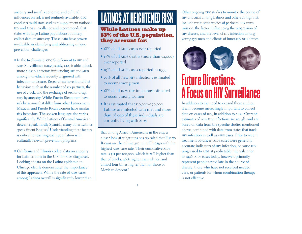ancestry and social, economic, and cultural influences on risk is not routinely available, CDC conducts multi-state studies to supplement national hiv and aids surveillance and recommends that states with large Latino populations routinely collect data on ancestry. These data have proven invaluable in identifying and addressing unique prevention challenges:

- In the twelve-state, CDC Supplement to HIV and AIDS Surveillance (SHAS) study, CDC is able to look more closely at factors influencing HIV and AIDS among individuals recently diagnosed with infection or disease. Researchers have found that behaviors such as the number of sex partners, the use of crack, and the exchange of sex for drugs vary by ancestry. While Puerto Rican men have risk behaviors that differ from other Latino men, Mexican and Puerto Rican women have similar risk behaviors. The spoken language also varies significantly. While Latinos of Central American descent speak mostly Spanish, many other Latinos speak fluent English.<sup>6</sup> Understanding these factors is critical to reaching each population with culturally relevant prevention programs.
- California and Illinois collect data on ancestry for Latinos born in the U.S. for AIDS diagnoses. Looking at data on the Latino epidemic in Chicago clearly demonstrates the importance of this approach. While the rate of AIDS cases among Latinos overall is significantly lower than

## LATINOS AT HEIGHTENED RISK

### While Latinos make up 13% of the U.S. population, they account for:

- 18% of all AIDS cases ever reported
- 17% of all AIDS deaths (more than 72,000) ever reported
- 19% of all AIDS cases reported in 1999
- 20% of all new HIV infections estimated to occur among men
- 18% of all new HIV infections estimated to occur among women
- It is estimated that 110,000–170,000 Latinos are infected with hiv, and more than 58,000 of these individuals are currently living with AIDS

that among African Americans in the city, a closer look at subgroups has revealed that Puerto Ricans are the ethnic group in Chicago with the highest AIDS case rate. Their cumulative AIDS rate is 511 per 100,000, which is 21% higher than that of blacks, 46% higher than whites, and almost four times higher than for those of Mexican descent.<sup>7</sup>

Other ongoing CDC studies to monitor the course of hiv and aids among Latinos and others at high risk include multi-state studies of perinatal hiv transmission, the factors influencing the progression of hiv disease, and the level of hiv infection among young gay men and clients of inner-city stp clinics.



## Future Directions: A Focus on HIV Surveillance

In addition to the need to expand these studies, it will become increasingly important to collect data on cases of HIV, in addition to AIDS. Current estimates of new hiv infections are rough, and are based on data from the specific studies mentioned above, combined with data from states that track hiv infection as well as aids cases. Prior to recent treatment advances, AIDS cases were generally accurate indicators of hiv infection, because hiv progressed to AIDS at predictable intervals prior to 1996. AIDS cases today, however, primarily represent people tested late in the course of disease, those who have not received needed care, or patients for whom combination therapy is not effective.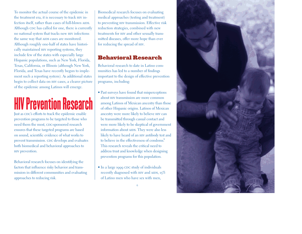To monitor the actual course of the epidemic in the treatment era, it is necessary to track hiv infection itself, rather than cases of full-blown AIDS. Although cpc has called for one, there is currently no national system that tracks new hiv infections the same way that AIDS cases are monitored. Although roughly one-half of states have historically maintained hiv reporting systems, they include few of the states with especially large Hispanic populations, such as New York, Florida, Texas, California, or Illinois (although New York, Florida, and Texas have recently begun to implement such a reporting system). As additional states begin to collect data on HIV cases, a clearer picture of the epidemic among Latinos will emerge.

## HIV Prevention Research

Just as CDC's efforts to track the epidemic enable prevention programs to be targeted to those who need them the most, CDC-sponsored research ensures that these targeted programs are based on sound, scientific evidence of what works to prevent transmission. CDC develops and evaluates both biomedical and behavioral approaches to hiv prevention.

Behavioral research focuses on identifying the factors that influence risky behavior and transmission in different communities and evaluating approaches to reducing risk.

Biomedical research focuses on evaluating medical approaches (testing and treatment) to preventing hiv transmission. Effective risk reduction strategies, combined with new treatments for hiv and other sexually transmitted diseases, offer more hope than ever for reducing the spread of hiv.

### Behavioral Research

Behavioral research to date in Latino communities has led to a number of findings important to the design of effective prevention programs, including:

- Past surveys have found that misperceptions about hiv transmission are more common among Latinos of Mexican ancestry than those of other Hispanic origins. Latinos of Mexican ancestry were more likely to believe hiv can be transmitted through casual contact and were more likely to be skeptical of government information about AIDS. They were also less likely to have heard of an hiv antibody test and to believe in the effectiveness of condoms.<sup>8</sup> This research reveals the critical need to address trust and knowledge when designing prevention programs for this population.
- In a large 1999 CDC study of individuals recently diagnosed with HIV and AIDS, 15% of Latino men who have sex with men,



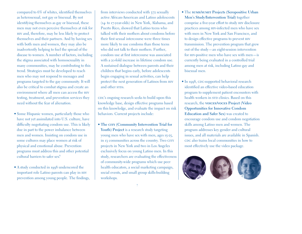compared to 6% of whites, identified themselves as heterosexual, not gay or bisexual. By not identifying themselves as gay or bisexual, these men may not even perceive themselves at risk for hiv and, therefore, may be less likely to protect themselves and their partners. And by having sex with both men and women, they may also be inadvertently helping to fuel the spread of the disease to women. A number of factors, including the stigma associated with homosexuality in many communities, may be contributing to this trend. Strategies must be developed to reach men who may not respond to messages and programs targeted to the gay community. It will also be critical to combat stigma and create an environment where all men can access the hiv testing, treatment, and prevention services they need without the fear of alienation.

- Some Hispanic women, particularly those who have not yet assimilated into U.S. culture, have difficulty negotiating condom use. This is likely due in part to the power imbalance between men and women. Insisting on condom use in some cultures may place women at risk of <sup>p</sup>hysical and emotional abuse. Prevention programs must address this and other potential cultural barriers to safer sex.<sup>9</sup>
- A study conducted in 1998 underscored the important role Latino parents can play in hiv prevention among young people. The findings,

from interviews conducted with 372 sexually active African-American and Latino adolescents (14- to 17-year-olds) in New York, Alabama, and Puerto Rico, showed that Latino teens who talked with their mothers about condoms before their first sexual intercourse were three times more likely to use condoms than those teens who did not talk to their mothers. Further, condom use at first intercourse was associated with a 20-fold increase in lifetime condom use. A sustained dialogue between parents and their children that begins early, before adolescents begin engaging in sexual activities, can help protect the next generation of Latinos from hiv and other stps.

cDC's ongoing research seeks to build upon this knowledge base, design effective programs based on this knowledge, and evaluate the impact on risk behaviors. Current projects include:

• **The city (Community Intervention Trial for Youth) Project** is a research study targeting young men who have sex with men, ages 15-25, in 13 communities across the country. Two CITY projects in New York and two in Los Angeles exclusively focus on young Latino men. In this study, researchers are evaluating the effectiveness of community-wide programs which use peer health educators, a social marketing campaign, social events, and small group skills-building workshops.

- The **sums/sumit Projects (Seropositive Urban Men's Study/Intervention Trial)** together comprise a five-year effort to study hiv disclosure practices among hiv-infected men who have sex with men in New York and San Francisco, and to design effective programs to prevent hiv transmission. The prevention program that grew out of the study—an eight-session intervention for hiv-positive men who have sex with men—is currently being evaluated in a controlled trial among men at risk, including Latino gay and bisexual men.
- $\bullet$  In 1998, CDC-supported behavioral research identified an effective video-based education program to supplement patient encounters with health workers in STD clinics. Based on this research, the **voices/voces Project (Video Opportunities for Innovative Condom Education and Safer Sex)** was created to encourage condom use and condom negotiation skills among Latino men and women. The program addresses key gender and cultural issues, and all materials are available in Spanish. cDC also trains local communities in how to most effectively use the video package.

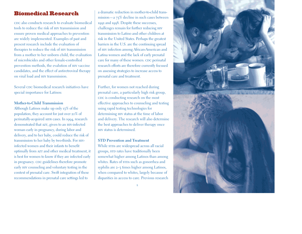### Biomedical Research

cDC also conducts research to evaluate biomedical tools to reduce the risk of hiv transmission and ensure proven medical approaches to prevention are widely implemented. Examples of past and present research include the evaluation of therapies to reduce the risk of hiv transmission from a mother to her unborn child, the evaluation of microbicides and other female-controlled prevention methods, the evalution of hiv vaccine candidates, and the effect of antiretroviral therapy on viral load and hiv transmission.

Several cpc biomedical research initiatives have special importance for Latinos:

### **Mother-to-Child Transmission**

Although Latinos make up only 13% of the population, they account for just over 20% of perinatally-acquired AIDS cases. In 1994, research demonstrated that AZT, given to an HIV-infected woman early in pregnancy, during labor and delivery, and to her baby, could reduce the risk of transmission to her baby by two-thirds. For hivinfected women and their infants to benefit optimally from AZT and other medical treatment, it is best for women to know if they are infected early in pregnancy. CDC guidelines therefore promote early hiv counseling and voluntary testing in the context of prenatal care. Swift integration of these recommendations in prenatal care settings led to

a dramatic reduction in mother-to-child transmission—a 73% decline in such cases between 1992 and 1998. Despite these successes, challenges remain for further reducing hiv transmission to Latino and other children at risk in the United States. Perhaps the greatest barriers in the U.S. are the continuing spread of hiv infection among African-American and Latina women and the lack of early prenatal care for many of these women. CDC perinatal research efforts are therefore currently focused on assessing strategies to increase access to prenatal care and treatment.

Further, for women not reached during prenatal care, a particularly high risk group, cDC is conducting research on the most effective approaches to counseling and testing using rapid testing technologies for determining hiv status at the time of labor and delivery. The research will also determine the best approaches to deliver therapy once hiv status is determined.

### **STD Prevention and Treatment**

While STDs are widespread across all racial groups, STD rates have traditionally been somewhat higher among Latinos than among whites. Rates of srps such as gonorrhea and syphilis are 2–3 times higher among Latinos, when compared to whites, largely because of disparities in access to care. Previous research



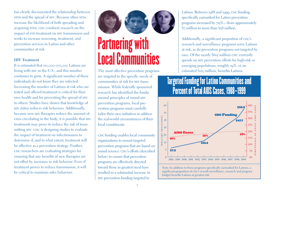has clearly documented the relationship between stos and the spread of HIV. Because other stos increase the likelihood of both spreading and acquiring stDs, CDC conducts research on the impact of STD treatment on HIV transmission and works to increase screening, treatment, and prevention services in Latino and other communities at risk.

#### **HIV Treatment**

It is estimated that 110,000–170,000 Latinos are living with hiv in the U.S., and this number continues to grow. A significant number of these individuals do not know they are infected. Increasing the number of Latinos at risk who are tested and offered treatment is critical for their own health and for preventing the spread of hiv to others. Studies have shown that knowledge of hiv status reduces risk behaviors. Additionally, because new hiv therapies reduce the amount of virus circulating in the body, it is possible that hiv treatments may prove to reduce the risk of transmitting HIV. CDC is designing studies to evaluate the impact of treatment on infectiousness to determine if, and to what extent, treatment will be effective as a prevention strategy. Further, cDC researchers are evaluating strategies for ensuring that any benefits of new therapies are not offset by increases in risk behavior. Even if treatment proves to reduce transmission, it will be critical to maintain safer behaviors.



# **Partnering with<br>Local Communities**

The most effective prevention programs are targeted to the specific needs of communities at risk for HIV transmission. While federally sponsored research has identified the fundamental principles of sound hiv prevention programs, local prevention programs must carefully tailor their own initiatives to address the real-world circumstances of their local constituents.

cnc funding enables local community organizations to mount targeted prevention programs that are based on sound science. cDC's efforts (described below) to ensure that prevention programs are effectively directed toward those in greatest need have resulted in a substantial increase in hiv prevention funding targeted to

 $\overline{Q}$ 

Latinos. Between 1988 and 1999, CDC funding specifically earmarked for Latino prevention programs increased by 715%—from approximately \$7 million to more than \$58 million.

Additionally, a significant proportion of CDC's research and surveillance programs serve Latinos at risk, as do prevention programs not targeted by race. Of the nearly \$615 million CDC currently spends on hiv prevention efforts for high-risk or emerging populations, roughly 19%, or an estimated \$115 million, benefits Latinos.

### Targeted Funding for Latino Communities and Percent of Total AIDS Cases, 1988 -1999



significant proportion of CDC's overall surveillance, research and program budget benefits Latinos at greatest risk.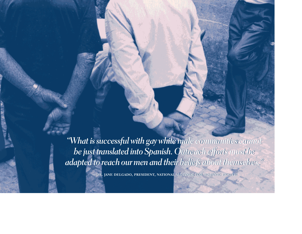*"What is successful with gay white male communities cannot "What is successful with gay white male communities cannot be just translated into Spanish. Outreach efforts must be adapted to reach our men and their beliefs about themselves." adapted to reach our men and their beliefs about* 

**—dr. jane delgado, president, national alliance for hispanic health**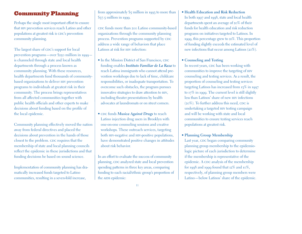### Community Planning

Perhaps the single most important effort to ensure that HIV prevention services reach Latino and other populations at greatest risk is CDC's prevention community planning.

The largest share of CDC's support for local prevention programs—over \$250 million in 1999 is channeled through state and local health departments through a process known as community planning. With these resources, health departments fund thousands of communitybased organizations to deliver hiv prevention programs to individuals at greatest risk in their community. The process brings representatives from all affected communities together with public health officials and other experts to make decisions about funding based on the profile of the local epidemic.

Community planning effectively moved the nation away from federal directives and placed the decisions about prevention in the hands of those closest to the problem. CDC requires that the membership of state and local planning councils reflect the epidemic in these jurisdictions and that funding decisions be based on sound science.

Implementation of community planning has dramatically increased funds targeted to Latino communities, resulting in a seven-fold increase,

from approximately \$5 million in 1993 to more than  $$37.5$  million in 1999.

cdc funds more than 200 Latino community-based organizations through the community planning process. Prevention programs supported by CDC address a wide range of behaviors that place Latinos at risk for HIV infection:

- In the Mission District of San Francisco, CDC funding enables *Instituto Familiar de La Raza* to reach Latina immigrants who cannot attend prevention workshops due to lack of time, childcare responsibilities, or inadequate transportation. To overcome such obstacles, the program pursues innovative strategies to draw attention to hiv, including theater presentations by health advocates at laundromats or on street corners.
- CDC funds *Musica Against Drugs* to reach Latino injection drug users in Brooklyn with one-on-one counseling sessions and creative workshops. These outreach services, targeting both HIV-negative and HIV-positive populations, have demonstrated positive changes in attitudes about risk behavior.

In an effort to evaluate the success of community planning, CDC analyzed state and local prevention spending patterns in three key areas, comparing funding to each racial/ethnic group's proportion of the AIDS epidemic:

• **Health Education and Risk Reduction**  In both 1997 and 1998, state and local health departments spent an average of 20% of their funds for health education and risk reduction programs on initiatives targeted to Latinos. In 1999, this percentage grew to 21%. This proportion of funding slightly exceeds the estimated level of new infections that occur among Latinos (20%).

### • **Counseling and Testing**

In recent years, cDC has been working with communities to improve the targeting of hiv counseling and testing services. As a result, the proportion of counseling and testing services targeting Latinos has increased from 13% in 1997 to 17% in 1999. The current level is still slightly less than Latinos' share of new hiv infections  $(20\%)$ . To further address this need, CDC is undertaking a targeted hiv testing campaign and will be working with state and local communities to ensure testing services reach populations at greatest risk.

• **Planning Group Membership**

Last year, CDC began comparing community planning group membership to the epidemiologic picture of each jurisdiction to determine if the membership is representative of the epidemic. A CDC analysis of the membership for 1998 and 1999 found that 12% and 10%, respectively, of planning group members were Latino—below Latinos' share of the epidemic.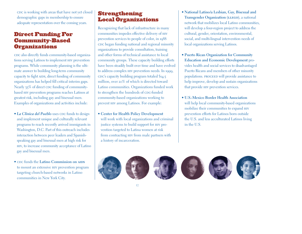cDC is working with areas that have not yet closed demographic gaps in membership to ensure adequate representation over the coming years.

### Direct Funding For Community-Based **Organizations**

cDC also directly funds community-based organizations serving Latinos to implement hiv prevention programs. While community planning is the ultimate answer to building long-term community capacity to fight AIDS, direct funding of community organizations has helped fill critical interim gaps. Nearly 35% of direct cDC funding of communitybased hiv prevention programs reaches Latinos at greatest risk, including gay and bisexual men. Examples of organizations and activities include:

- La Clinica del Pueblo uses CDC funds to design and implement unique and culturally relevant programs to reach recently arrived immigrants in Washington, D.C. Part of this outreach includes interaction between peer leaders and Spanishspeaking gay and bisexual men at high risk for hiv, to increase community acceptance of Latino gay and bisexual men.
- CDC funds the **Latino Commission on AIDS** to mount an extensive hiv prevention program targeting church-based networks in Latino communities in New York City.

### Strengthening Local Organizations

Recognizing that lack of infrastructure in many communities impedes effective delivery of hiv prevention services to people of color, in 1988 cDC began funding national and regional minority organizations to provide consultation, training and other forms of technical assistance to local community groups. These capacity building efforts have been steadily built over time and have evolved to address complex hiv prevention needs. In 1999, cdc's capacity building program totaled \$14.5 million, over 20% of which is directed toward Latino communities. Organizations funded work to strengthen the hundreds of CDC-funded community-based organizations working to prevent hiv among Latinos. For example:

• **Center for Health Policy Development** will work with local organizations and criminal justice systems to build support for hiv prevention targeted to Latina women at risk from contracting hiv from male partners with a history of incarceration.

- **National Latino/a Lesbian, Gay, Bisexual and Transgender Organization** (LLEGO), a national network that mobilizes local Latino communities, will develop a four-region project to address the cultural, gender, orientation, environmental, social, and multi-lingual intervention needs of local organizations serving Latinos.
- **Puerto Rican Organization for Community Education and Economic Development** provides health and social services to disadvantaged Puerto Ricans and members of other minority populations. PROCEED will provide assistance to help improve, develop and sustain organizations that provide hiv prevention services.
- **U.S.-Mexico Border Health Association** will help local community-based organizations mobilize their communities to expand hiv prevention efforts for Latinos born outside the U.S. and less acculturated Latinos living in the U.S.

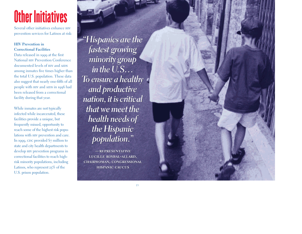## Other Initiatives

Several other initiatives enhance hiv prevention services for Latinos at risk:

### **HIV Prevention in Correctional Facilities**

Data released in 1999 at the first National hiv Prevention Conference documented levels of HIV and AIDS among inmates five times higher than the total U.S. population. These data also suggest that nearly one-fifth of all people with HIV and AIDS in 1996 had been released from a correctional facility during that year.

While inmates are not typically infected while incarcerated, these facilities provide a unique, but frequently missed, opportunity to reach some of the highest risk populations with hiv prevention and care. In 1999, CDC provided  $\frac{1}{2}$  million to state and city health departments to develop hiv prevention programs in correctional facilities to reach highrisk minority populations, including Latinos, who represent 25% of the U.S. prison population.

*"Hispanics are the "Hispanics are the fastest growing minority group in the U.S… To ensure a healthy fastest growingminority group in the U.S… To ensure a healthy and productive nation, it is critical that we meet the health needs of the Hispanic the Hispanicpopulation." and productive<br>nation, it is critical<br>that we meet the<br>health needs of* 

**—representative —representative lucille roybal-allard, chairwoman, congressional hispanic caucus lucille roybal-allard,chairwoman, congressionalhispanic caucus**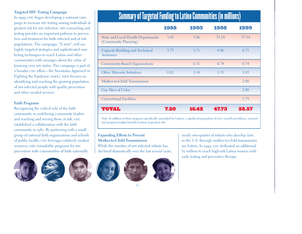### **Targeted HIV Testing Campaign**

In 1999, CDC began developing a national campaign to increase hiv testing among individuals at greatest risk for hiv infection. hiv counseling and testing provides an important pathway to prevention and treatment for both infected and at risk populations. The campaign, "X AIDS", will use highly targeted strategies and sophisticated marketing techniques to reach Latino and other communities with messages about the value of knowing your hiv status. The campaign is part of a broader CDC effort—the Serostatus Approach to Fighting the Epidemic (SAFE). SAFE focuses on identifying and reaching the growing population of hiv-infected people with quality prevention and other needed services.

### **Faith Programs**

Recognizing the critical role of the faith community in mobilizing community leaders and reaching and serving those at risk, CDC established a collaboration with the faith community in 1987. By partnering with a small group of national faith organizations and schools of public health, CDC leverages relatively modest resources into remarkable programs for hiv prevention with communities of faith nationally.









**Expanding Efforts to Prevent Mother-to-Child Transmission**



14

While the number of  $H$ <sub>IV</sub>-infected infants has

## Summary of Targeted Funding to Latino Communities (in millions)

|                                                                   | 1988 | 1993  | 1998  | 1999  |
|-------------------------------------------------------------------|------|-------|-------|-------|
| <b>State and Local Health Departments</b><br>(Community Planning) | 3.45 | 5.06  | 35.18 | 37.54 |
| Capacity-Building and Technical<br>Assistance                     | 3.73 | 3.71  | 4.46  | 6.71  |
| Community-Based Organizations                                     |      | 6.51  | 6.74  | 6.74  |
| <b>Other Minority Initiatives</b>                                 | 0.02 | 1.14  | 1.35  | 1.83  |
| Mother-to-Child Transmission                                      |      |       |       | 2.00  |
| Gay Men of Color                                                  |      |       |       | 2.00  |
| <b>Correctional Facilities</b>                                    |      |       |       | 1.75  |
| тота н                                                            | 7.20 | 16.42 | 47.78 | 58.57 |

Note: In addition to these programs specifically earmarked for Latinos, a significant proportion of CDC's overall surveillance, research and program budget benefits Latinos at greatest risk.

> nearly one-quarter of infants who develop AIDS in the U.S. through mother-to-child transmission are Latino. In 1999, CDC dedicated an additional \$2 million to reach high-risk Latina women with early testing and preventive therapy.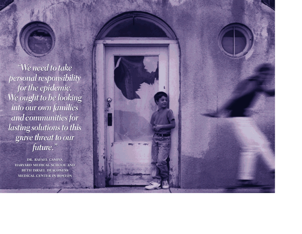*"We need to take personal responsibility for the epidemic. We ought to be looking into our own families to lookinginto own families and communities for lasting solutions to this grave threat to our future."*  We need to take<sup>.</sup><br>personal responsibil<br>for the epidemic. *and communities for<br>asting solutions to this<br>grave threat to our<br>future."* 

DR. RAFAEL CAMPO, **harvard medical school and beth israel deaconess medical center in boston medical center in bostondr. rafael campo, harvard medical school and beth israel deaconess** 

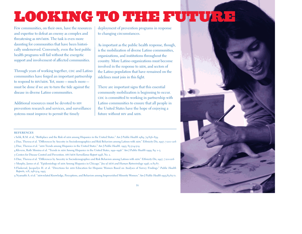## LOOKING TO THE FUTURE

Few communities, on their own, have the resources and expertise to defeat an enemy as complex and threatening as HIV/AIDS. The task is even more daunting for communities that have been historically underserved. Conversely, even the best public health programs will fail without the energetic support and involvement of affected communities.

Through years of working together, CDC and Latino communities have forged an important partnership to respond to HIV/AIDS. Yet, more—much more must be done if we are to turn the tide against the disease in diverse Latino communities.

Additional resources must be devoted to hiv prevention research and services, and surveillance systems must improve to permit the timely

deployment of prevention programs in response to changing circumstances.

As important as the public health response, though, is the mobilization of diverse Latino communities, organizations, and institutions throughout the country. More Latino organizations must become involved in the response to AIDS, and sectors of the Latino population that have remained on the sidelines must join in this fight.

There are important signs that this essential community mobilization is beginning to occur. cDC is committed to working in partnership with Latino communities to ensure that all people in the United States have the hope of enjoying a future without HIV and AIDS.

#### **REFERENCES**

- 1 Selik, R.M. et al, "Birthplace and the Risk of aids among Hispanics in the United States." *Am J Public Health* <sup>19</sup>89; 79:836–839.
- 2 Diaz, Theresa et al. "Differences by Ancestry in Sociodemographics and Risk Behaviors among Latinos with aids." *Ethnicity Dis*, 1997; 7:200–206
- <sup>3</sup>Diaz, Theresa et al. "aids Trends among Hispanics in the United States." *Am J Public Health.* 1993; 83:504-509
- <sup>4</sup>Klevens, Ruth Monina et al. "Trends in aids Among Hispanics in the United States, 1991–1996." *Am J Public Health* 1999; 89: 1–3. 5 Centers for Disease Control and Prevention. *HIV/AIDS Surveillance Report* <sup>199</sup>8, No. 2.
- 6 Diaz, Theresa et al. "Differences by Ancestry in Sociodemographics and Risk Behaviors among Latinos with aids." *Ethnicity Dis*, 1997; 7:200-206 <sup>7</sup>Murphy, James et al. "Epidemiology of aids Among Hispanics in Chicago." *Jou of AIDS and Human Retrovirology* <sup>199</sup>6; 11:83-87.
- 8 Flaskerud, Jacquelyn H. et al. "Directions for aids Education for Hispanic Women Based on Analyses of Survey Findings." *Public Health Reports,* 108, 298-304, 1993.

<sup>9</sup>Nyamathi A. et al. "aids-related Knowledge, Perceptions, and Behaviors among Impoverished Minority Women." *Am J Public Health* 1993;83:65-71.



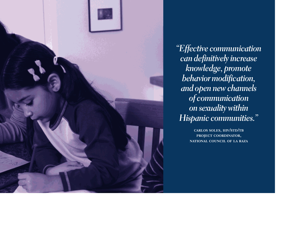

*"Effective communication can definitively increase knowledge, promote behavior modification, and open new channels of communication on sexuality within Hispanic communities."* 

> **carlos soles, hiv/std/tb project coordinator, national council of la raza**